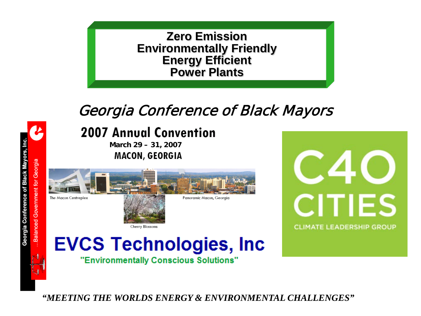

## Georgia Conference of Black Mayors



## **2007 Annual Convention**

**March 29 – 31, 2007MACON, GEORGIA** 



Cherry Blossoms



# **EVCS Technologies, Inc.**

"Environmentally Conscious Solutions"

*"MEETING THE WORLDS ENERGY & ENVIRONMENTAL CHALLENGES"*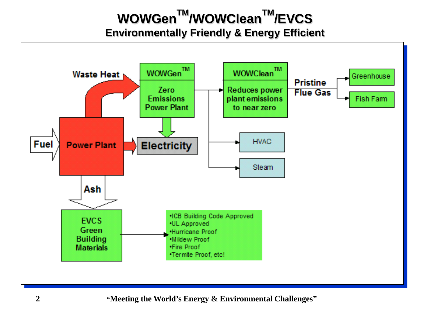## **WOWGenTM/WOWCleanTM/EVCS Environmentally Friendly & Energy Efficient**

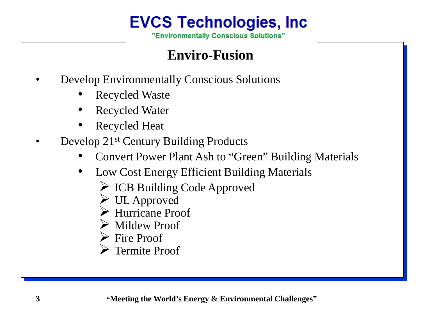## **EVCS Technologies, Inc.**

"Environmentally Conscious Solutions"

### **Enviro-Fusion**

- Develop Environmentally Conscious Solutions
	- Recycled Waste
	- Recycled Water
	- Recycled Heat
- Develop 21st Century Building Products
	- Convert Power Plant Ash to "Green" Building Materials
	- Low Cost Energy Efficient Building Materials
		- $\triangleright$  ICB Building Code Approved
		- UL Approved
		- Hurricane Proof
		- Mildew Proof
		- **►** Fire Proof
		- **Termite Proof**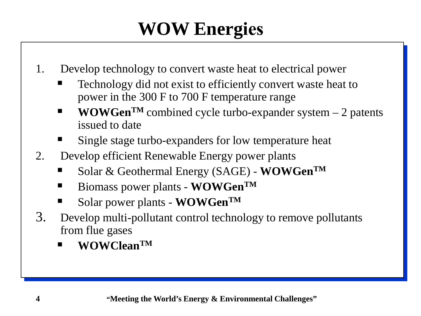# **WOW Energies**

- 1. Develop technology to convert waste heat to electrical power
	- Technology did not exist to efficiently convert waste heat to power in the 300 F to 700 F temperature range
	- **WOWGen<sup>TM</sup>** combined cycle turbo-expander system  $-2$  patents issued to date
	- Single stage turbo-expanders for low temperature heat
- 2. Develop efficient Renewable Energy power plants
	- Solar & Geothermal Energy (SAGE) **WOWGenTM**
	- Biomass power plants **WOWGen**<sup>TM</sup>
	- Solar power plants **WOWGenTM**
- 3. Develop multi-pollutant control technology to remove pollutants from flue gases
	- **WOWCleanTM**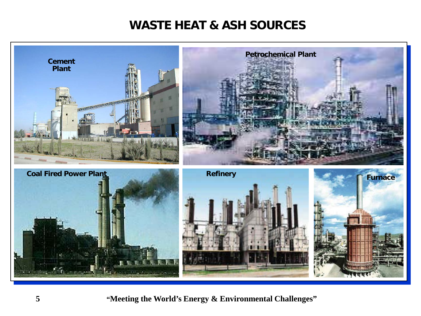#### **WASTE HEAT & ASH SOURCES**

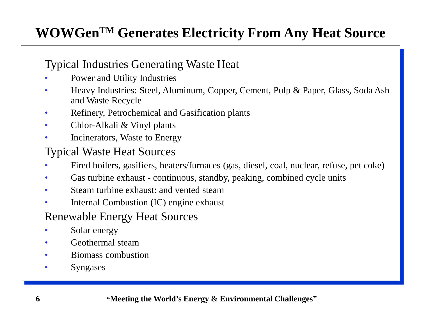## **WOWGenTM Generates Electricity From Any Heat Source**

#### Typical Industries Generating Waste Heat

- Power and Utility Industries
- Heavy Industries: Steel, Aluminum, Copper, Cement, Pulp & Paper, Glass, Soda Ash and Waste Recycle
- Refinery, Petrochemical and Gasification plants
- Chlor-Alkali & Vinyl plants
- Incinerators, Waste to Energy

#### Typical Waste Heat Sources

- Fired boilers, gasifiers, heaters/furnaces (gas, diesel, coal, nuclear, refuse, pet coke)
- Gas turbine exhaust continuous, standby, peaking, combined cycle units
- Steam turbine exhaust: and vented steam
- Internal Combustion (IC) engine exhaust

#### Renewable Energy Heat Sources

- Solar energy
- Geothermal steam
- Biomass combustion
- **Syngases**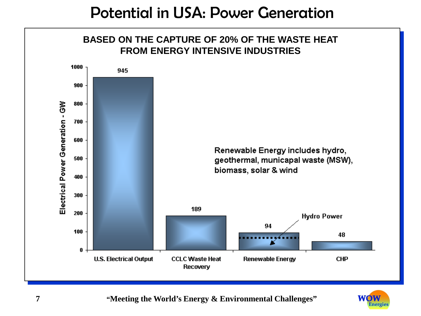## Potential in USA: Power Generation



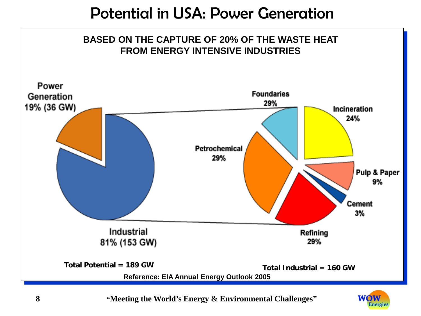## Potential in USA: Power Generation



**8 "Meeting the World's Energy & Environmental Challenges"**

WOW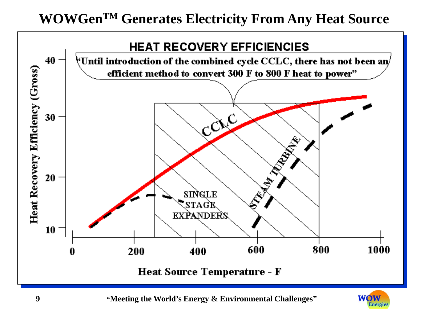## **WOWGenTM Generates Electricity From Any Heat Source**

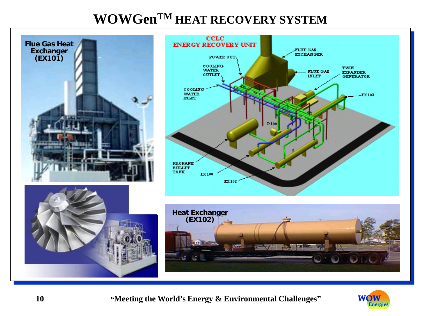### **WOWGenTM HEAT RECOVERY SYSTEM**



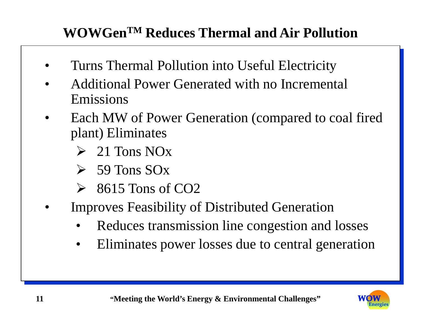## **WOWGenTM Reduces Thermal and Air Pollution**

- Turns Thermal Pollution into Useful Electricity
- Additional Power Generated with no Incremental Emissions
- Each MW of Power Generation (compared to coal fired plant) Eliminates
	- $\geq 21$  Tons NO<sub>x</sub>
	- $\triangleright$  59 Tons SOx
	- $\geq$  8615 Tons of CO2
- Improves Feasibility of Distributed Generation
	- Reduces transmission line congestion and losses
	- Eliminates power losses due to central generation

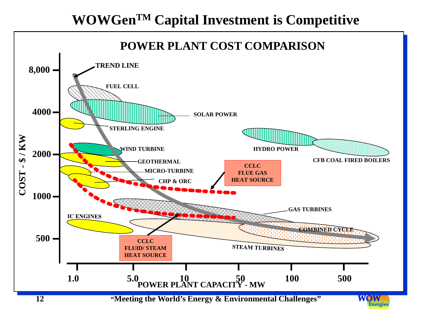## **WOWGenTM Capital Investment is Competitive**

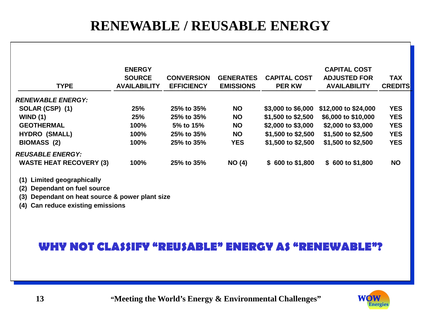## **RENEWABLE / REUSABLE ENERGY**

| <b>TYPE</b>                                               | <b>ENERGY</b><br><b>SOURCE</b><br><b>AVAILABILITY</b> | <b>CONVERSION</b><br><b>EFFICIENCY</b> | <b>GENERATES</b><br><b>EMISSIONS</b> | <b>CAPITAL COST</b><br><b>PER KW</b> | <b>CAPITAL COST</b><br><b>ADJUSTED FOR</b><br><b>AVAILABILITY</b> | <b>TAX</b><br><b>CREDITS</b> |
|-----------------------------------------------------------|-------------------------------------------------------|----------------------------------------|--------------------------------------|--------------------------------------|-------------------------------------------------------------------|------------------------------|
| <b>RENEWABLE ENERGY:</b>                                  |                                                       |                                        |                                      |                                      |                                                                   |                              |
| SOLAR (CSP) (1)                                           | 25%                                                   | 25% to 35%                             | <b>NO</b>                            | \$3,000 to \$6,000                   | \$12,000 to \$24,000                                              | <b>YES</b>                   |
| WIND(1)                                                   | 25%                                                   | 25% to 35%                             | <b>NO</b>                            | \$1,500 to \$2,500                   | \$6,000 to \$10,000                                               | <b>YES</b>                   |
| <b>GEOTHERMAL</b>                                         | 100%                                                  | 5% to 15%                              | NO.                                  | \$2,000 to \$3,000                   | \$2,000 to $$3,000$                                               | <b>YES</b>                   |
| <b>HYDRO (SMALL)</b>                                      | 100%                                                  | 25% to 35%                             | NO.                                  | \$1,500 to \$2,500                   | $$1,500$ to $$2,500$                                              | <b>YES</b>                   |
| <b>BIOMASS (2)</b>                                        | 100%                                                  | 25% to 35%                             | <b>YES</b>                           | \$1,500 to \$2,500                   | \$1,500 to \$2,500                                                | <b>YES</b>                   |
| <b>REUSABLE ENERGY:</b><br><b>WASTE HEAT RECOVERY (3)</b> | 100%                                                  | 25% to 35%                             | NO(4)                                | \$600 to \$1,800                     | \$600 to \$1,800                                                  | <b>NO</b>                    |

**(1) Limited geographically**

**(2) Dependant on fuel source**

**(3) Dependant on heat source & power plant size**

**(4) Can reduce existing emissions**

#### **WHY NOT CLASSIFY "REUSABLE" ENERGY AS "RENEWABLE"?**

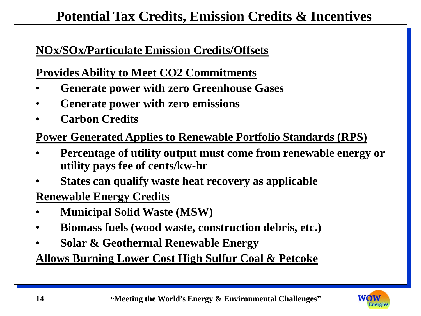## **Potential Tax Credits, Emission Credits & Incentives**

#### **NOx/SOx/Particulate Emission Credits/Offsets**

#### **Provides Ability to Meet CO2 Commitments**

- **Generate power with zero Greenhouse Gases**
- **Generate power with zero emissions**
- **Carbon Credits**

#### **Power Generated Applies to Renewable Portfolio Standards (RPS)**

- **Percentage of utility output must come from renewable energy or utility pays fee of cents/kw-hr**
- **States can qualify waste heat recovery as applicable**

#### **Renewable Energy Credits**

- **Municipal Solid Waste (MSW)**
- **Biomass fuels (wood waste, construction debris, etc.)**
- **Solar & Geothermal Renewable Energy**

**Allows Burning Lower Cost High Sulfur Coal & Petcoke**

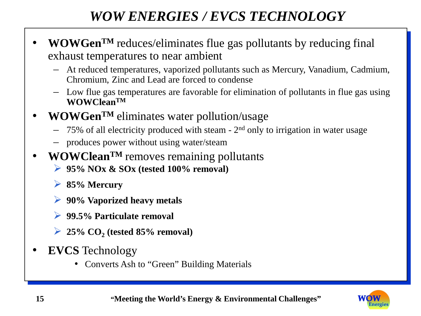## *WOW ENERGIES / EVCS TECHNOLOGY*

- **WOWGenTM** reduces/eliminates flue gas pollutants by reducing final exhaust temperatures to near ambient
	- At reduced temperatures, vaporized pollutants such as Mercury, Vanadium, Cadmium, Chromium, Zinc and Lead are forced to condense
	- Low flue gas temperatures are favorable for elimination of pollutants in flue gas using **WOWCleanTM**
- **WOWGenTM** eliminates water pollution/usage
	- $-$  75% of all electricity produced with steam 2<sup>nd</sup> only to irrigation in water usage
	- produces power without using water/steam
- **WOWCleanTM** removes remaining pollutants
	- **95% NOx & SOx (tested 100% removal)**
	- **85% Mercury**
	- **90% Vaporized heavy metals**
	- **99.5% Particulate removal**
	- $\geq 25\%$  CO<sub>2</sub> (tested 85% removal)
- **EVCS** Technology
	- Converts Ash to "Green" Building Materials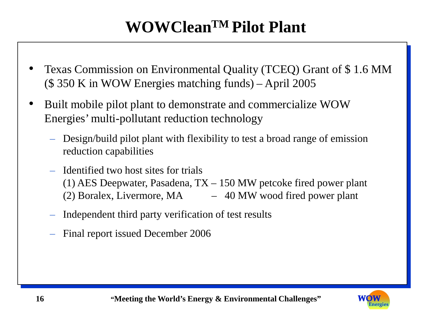## **WOWCleanTM Pilot Plant**

- Texas Commission on Environmental Quality (TCEQ) Grant of \$ 1.6 MM (\$ 350 K in WOW Energies matching funds) – April 2005
- Built mobile pilot plant to demonstrate and commercialize WOW Energies' multi-pollutant reduction technology
	- Design/build pilot plant with flexibility to test a broad range of emission reduction capabilities
	- Identified two host sites for trials (1) AES Deepwater, Pasadena, TX – 150 MW petcoke fired power plant (2) Boralex, Livermore,  $MA$  – 40 MW wood fired power plant
	- Independent third party verification of test results
	- Final report issued December 2006

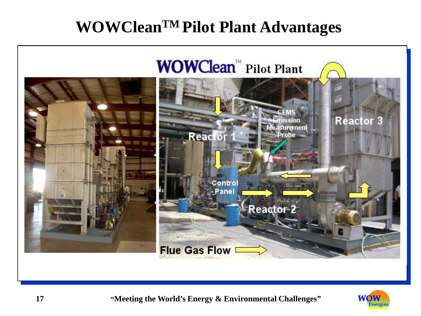## **WOWCleanTM Pilot Plant Advantages**





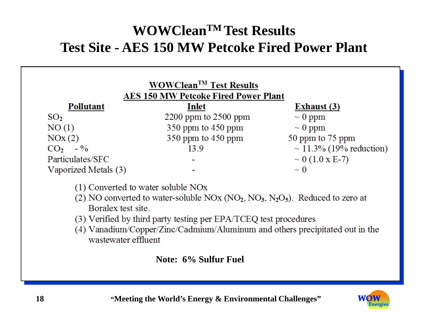## **WOWCleanTM Test Results Test Site - AES 150 MW Petcoke Fired Power Plant**



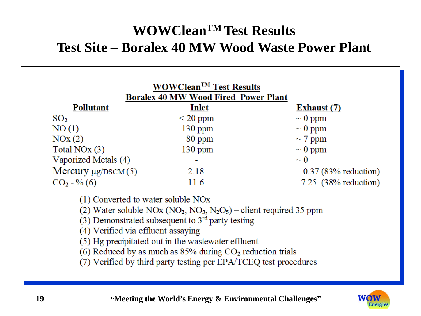## **WOWCleanTM Test Results Test Site – Boralex 40 MW Wood Waste Power Plant**

| <b>WOWClean<sup>TM</sup></b> Test Results<br><b>Boralex 40 MW Wood Fired Power Plant</b> |               |                        |  |  |  |  |
|------------------------------------------------------------------------------------------|---------------|------------------------|--|--|--|--|
| Pollutant                                                                                | Inlet         | Exhaust (7)            |  |  |  |  |
| SO <sub>2</sub>                                                                          | $\leq$ 20 ppm | $\sim 0$ ppm           |  |  |  |  |
| NO(1)                                                                                    | $130$ ppm     | $\sim 0$ ppm           |  |  |  |  |
| NOx(2)                                                                                   | 80 ppm        | $\sim$ 7 ppm           |  |  |  |  |
| Total NO <sub>x</sub> (3)                                                                | $130$ ppm     | $\sim 0$ ppm           |  |  |  |  |
| Vaporized Metals (4)                                                                     | ۰             | $\sim 0$               |  |  |  |  |
| Mercury $\mu$ g/DSCM(5)                                                                  | 2.18          | $0.37$ (83% reduction) |  |  |  |  |
| $CO2 - % (6)$                                                                            | 11.6          | 7.25 $(38%$ reduction) |  |  |  |  |

(1) Converted to water soluble NOx

(2) Water soluble NOx (NO<sub>2</sub>, NO<sub>3</sub>, N<sub>2</sub>O<sub>5</sub>) – client required 35 ppm

 $(3)$  Demonstrated subsequent to  $3<sup>rd</sup>$  party testing

(4) Verified via effluent assaying

(5) Hg precipitated out in the wastewater effluent

(6) Reduced by as much as  $85%$  during  $CO<sub>2</sub>$  reduction trials

(7) Verified by third party testing per EPA/TCEQ test procedures

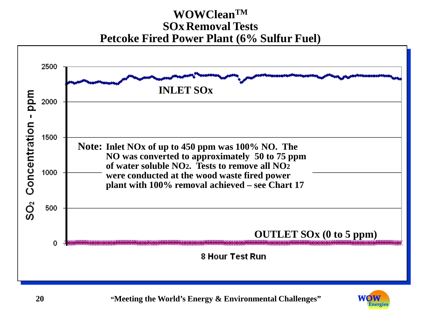#### **WOWCleanTM SOx Removal Tests Petcoke Fired Power Plant (6% Sulfur Fuel)**



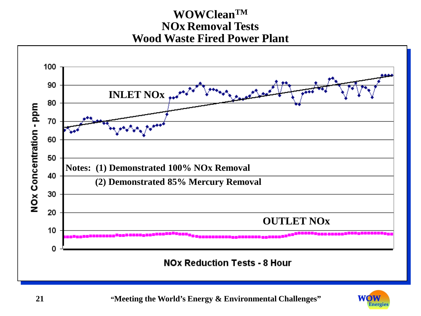#### **WOWCleanTM NOx Removal Tests Wood Waste Fired Power Plant**



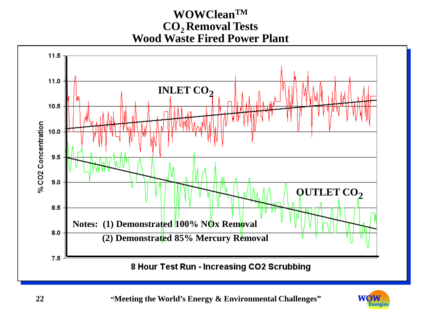#### **WOWCleanTM CO2 Removal Tests Wood Waste Fired Power Plant**